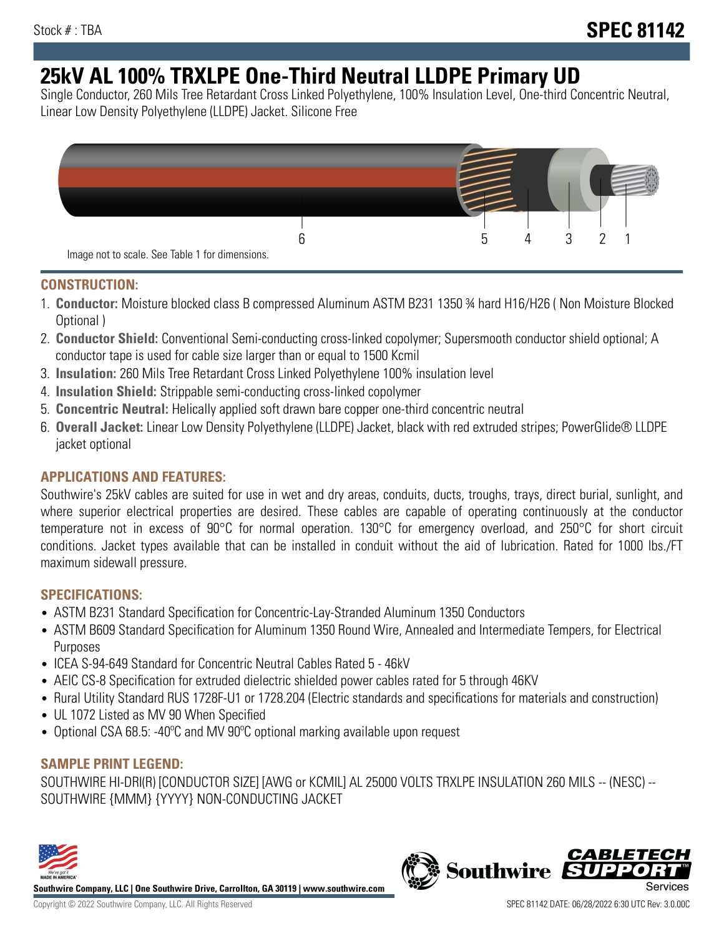# **25kV AL 100% TRXLPE One-Third Neutral LLDPE Primary UD**

Single Conductor, 260 Mils Tree Retardant Cross Linked Polyethylene, 100% Insulation Level, One-third Concentric Neutral, Linear Low Density Polyethylene (LLDPE) Jacket. Silicone Free



### **CONSTRUCTION:**

- 1. **Conductor:** Moisture blocked class B compressed Aluminum ASTM B231 1350 ¾ hard H16/H26 ( Non Moisture Blocked Optional )
- 2. **Conductor Shield:** Conventional Semi-conducting cross-linked copolymer; Supersmooth conductor shield optional; A conductor tape is used for cable size larger than or equal to 1500 Kcmil
- 3. **Insulation:** 260 Mils Tree Retardant Cross Linked Polyethylene 100% insulation level
- 4. **Insulation Shield:** Strippable semi-conducting cross-linked copolymer
- 5. **Concentric Neutral:** Helically applied soft drawn bare copper one-third concentric neutral
- 6. **Overall Jacket:** Linear Low Density Polyethylene (LLDPE) Jacket, black with red extruded stripes; PowerGlide® LLDPE jacket optional

# **APPLICATIONS AND FEATURES:**

Southwire's 25kV cables are suited for use in wet and dry areas, conduits, ducts, troughs, trays, direct burial, sunlight, and where superior electrical properties are desired. These cables are capable of operating continuously at the conductor temperature not in excess of 90°C for normal operation. 130°C for emergency overload, and 250°C for short circuit conditions. Jacket types available that can be installed in conduit without the aid of lubrication. Rated for 1000 lbs./FT maximum sidewall pressure.

#### **SPECIFICATIONS:**

- ASTM B231 Standard Specification for Concentric-Lay-Stranded Aluminum 1350 Conductors
- ASTM B609 Standard Specification for Aluminum 1350 Round Wire, Annealed and Intermediate Tempers, for Electrical Purposes
- ICEA S-94-649 Standard for Concentric Neutral Cables Rated 5 46kV
- AEIC CS-8 Specification for extruded dielectric shielded power cables rated for 5 through 46KV
- Rural Utility Standard RUS 1728F-U1 or 1728.204 (Electric standards and specifications for materials and construction)
- UL 1072 Listed as MV 90 When Specified
- Optional CSA 68.5: -40ºC and MV 90ºC optional marking available upon request

#### **SAMPLE PRINT LEGEND:**

SOUTHWIRE HI-DRI(R) [CONDUCTOR SIZE] [AWG or KCMIL] AL 25000 VOLTS TRXLPE INSULATION 260 MILS -- (NESC) -- SOUTHWIRE {MMM} {YYYY} NON-CONDUCTING JACKET



**Southwire Company, LLC | One Southwire Drive, Carrollton, GA 30119 | www.southwire.com**

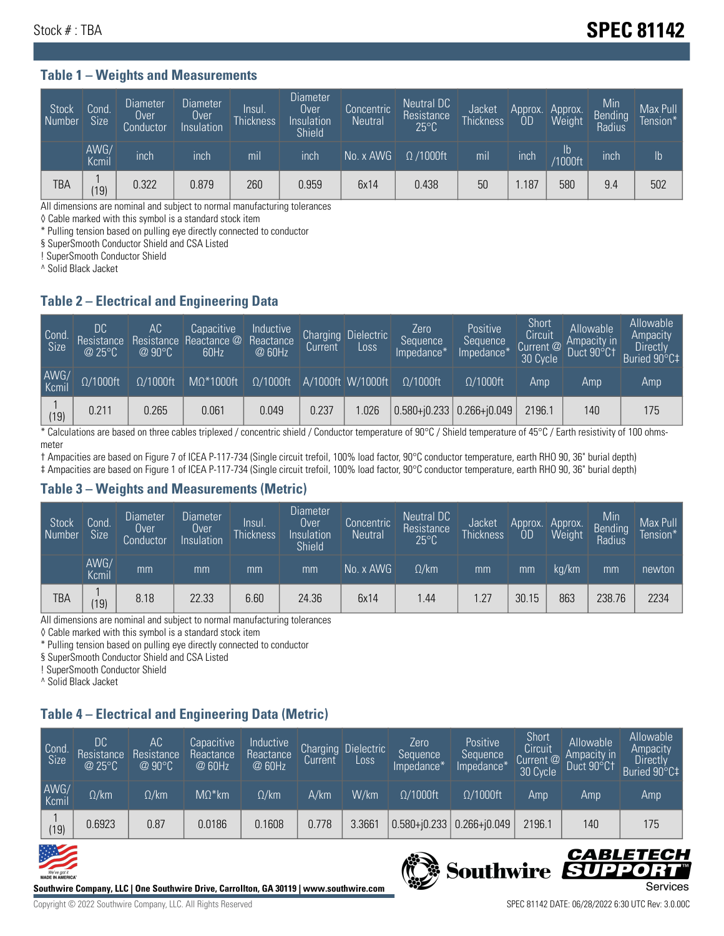#### **Table 1 – Weights and Measurements**

| <b>Stock</b><br>Number | Cond.<br><b>Size</b> | <b>Diameter</b><br>Over<br>Conductor | <b>Diameter</b><br>Over<br>Insulation | Insul.<br><b>Thickness</b> | <b>Diameter</b><br>Over.<br>Insulation<br><b>Shield</b> | Concentric<br><b>Neutral</b> | Neutral DC<br>Resistance<br>$25^{\circ}$ C | Jacket<br><b>Thickness</b> | Approx.<br>0D | Approx.<br>Weight    | Min<br><b>Bending</b><br>Radius | Max Pull<br>Tension* |
|------------------------|----------------------|--------------------------------------|---------------------------------------|----------------------------|---------------------------------------------------------|------------------------------|--------------------------------------------|----------------------------|---------------|----------------------|---------------------------------|----------------------|
|                        | AWG/<br>Kcmil        | inch                                 | inch                                  | mil                        | ınch                                                    | No. x AWG                    | $\Omega$ /1000ft                           | mil                        | inch          | Ib<br><b>Y1000ft</b> | inch                            | I <sub>b</sub>       |
| <b>TBA</b>             | (19)                 | 0.322                                | 0.879                                 | 260                        | 0.959                                                   | 6x14                         | 0.438                                      | 50                         | .187          | 580                  | 9.4                             | 502                  |

All dimensions are nominal and subject to normal manufacturing tolerances

◊ Cable marked with this symbol is a standard stock item

\* Pulling tension based on pulling eye directly connected to conductor

§ SuperSmooth Conductor Shield and CSA Listed

! SuperSmooth Conductor Shield

^ Solid Black Jacket

#### **Table 2 – Electrical and Engineering Data**

| Cond<br>$\overline{\text{Size}}$ | DC<br><b>Resistance</b><br>@25°C | AC<br>Resistance<br>$@90^{\circ}C$ | Capacitive<br>Reactance @ Reactance<br>60Hz | Inductive<br>@ 60Hz | Charging<br>Current | <b>Dielectric</b><br>Loss. | Zero.<br>Sequence<br>Impedance* | Positive<br>Sequence<br>Impedance <sup>®</sup> | Short<br>Circuit<br>Current @<br>30 Cycle | Allowable<br>Ampacity in<br>Duct 90°C† | Allowable<br>Ampacity<br><b>Directly</b><br>Buried 90°C‡ |
|----------------------------------|----------------------------------|------------------------------------|---------------------------------------------|---------------------|---------------------|----------------------------|---------------------------------|------------------------------------------------|-------------------------------------------|----------------------------------------|----------------------------------------------------------|
| AWG/<br>Kcmil                    | $\Omega/1000$ ft                 | $\Omega/1000$ ft                   | $M\Omega^*1000$ ft                          | $\Omega/1000$ ft    |                     | A/1000ft W/1000ft          | $\Omega/1000$ ft                | $\Omega/1000$ ft                               | Amp                                       | Amp                                    | Amp                                                      |
| (19)                             | 0.211                            | 0.265                              | 0.061                                       | 0.049               | 0.237               | 1.026                      |                                 | $0.580 + 0.233$ 0.266+ $0.049$                 | 2196.1                                    | 140                                    | 175                                                      |

\* Calculations are based on three cables triplexed / concentric shield / Conductor temperature of 90°C / Shield temperature of 45°C / Earth resistivity of 100 ohmsmeter

† Ampacities are based on Figure 7 of ICEA P-117-734 (Single circuit trefoil, 100% load factor, 90°C conductor temperature, earth RHO 90, 36" burial depth) ‡ Ampacities are based on Figure 1 of ICEA P-117-734 (Single circuit trefoil, 100% load factor, 90°C conductor temperature, earth RHO 90, 36" burial depth)

#### **Table 3 – Weights and Measurements (Metric)**

| Stock<br>Number | Cond.<br>Size <sup>'</sup> | <b>Diameter</b><br><b>Over</b><br>Conductor | Diameter<br>Over<br>Insulation | Insul.<br><b>Thickness</b> | <b>Diameter</b><br>Over.<br>Insulation<br><b>Shield</b> | Concentric<br><b>Neutral</b> | Neutral DC<br>Resistance<br>$25^{\circ}$ C | Jacket<br><b>Thickness</b> | Approx.<br>0D | Approx.<br>Weight | Min<br>Bending<br>Radius | Max Pull<br>Tension* |
|-----------------|----------------------------|---------------------------------------------|--------------------------------|----------------------------|---------------------------------------------------------|------------------------------|--------------------------------------------|----------------------------|---------------|-------------------|--------------------------|----------------------|
|                 | AWG/<br>Kcmil              | mm                                          | mm                             | mm                         | mm                                                      | No. x AWG                    | $\Omega$ /km                               | mm                         | mm            | ka/km             | mm                       | newton               |
| <b>TBA</b>      | (19)                       | 8.18                                        | 22.33                          | 6.60                       | 24.36                                                   | 6x14                         | l.44                                       | 1.27                       | 30.15         | 863               | 238.76                   | 2234                 |

All dimensions are nominal and subject to normal manufacturing tolerances

◊ Cable marked with this symbol is a standard stock item

\* Pulling tension based on pulling eye directly connected to conductor

§ SuperSmooth Conductor Shield and CSA Listed

! SuperSmooth Conductor Shield

^ Solid Black Jacket

# **Table 4 – Electrical and Engineering Data (Metric)**

| Cond.<br>Size | DC<br>Resistance<br>@25°C | AC<br>Resistance<br>@90°C | Capacitive<br>Reactance<br>@ 60Hz | Inductive<br>Reactance<br>@ 60Hz | Charging<br>Current | <b>Dielectric</b><br>Loss | Zero<br>Sequence<br>Impedance* | Positive<br>Sequence<br>Impedance* | Short<br>Circuit<br>Current @<br>30 Cycle | Allowable<br>Ampacity in<br>Duct 90°C1 | Allowable<br>Ampacity<br>Directly<br>Buried 90°C‡ |
|---------------|---------------------------|---------------------------|-----------------------------------|----------------------------------|---------------------|---------------------------|--------------------------------|------------------------------------|-------------------------------------------|----------------------------------------|---------------------------------------------------|
| AWG/<br>Kcmil | $\Omega$ /km              | $\Omega$ /km              | $M\Omega^*$ km                    | $\Omega$ /km                     | A/km                | W/km                      | $\Omega/1000$ ft               | $\Omega/1000$ ft                   | Amp                                       | Amp                                    | Amp                                               |
| (19)          | 0.6923                    | 0.87                      | 0.0186                            | 0.1608                           | 0.778               | 3.3661                    | $0.580 + 0.233$                | $0.266 + 0.049$                    | 2196.1                                    | 140                                    | 175                                               |



**Southwire Company, LLC | One Southwire Drive, Carrollton, GA 30119 | www.southwire.com**

Copyright © 2022 Southwire Company, LLC. All Rights Reserved SPEC 81142 DATE: 06/28/2022 6:30 UTC Rev: 3.0.00C

CABLETECI